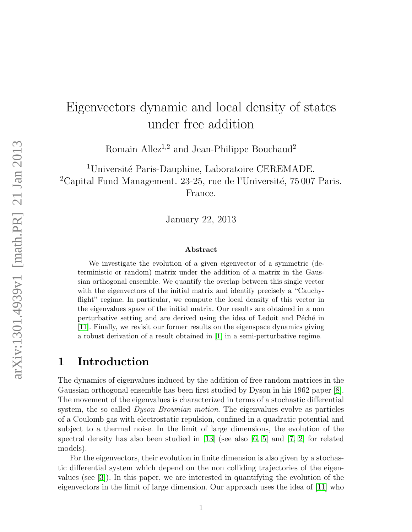# Eigenvectors dynamic and local density of states under free addition

Romain Allez<sup>1,2</sup> and Jean-Philippe Bouchaud<sup>2</sup>

<sup>1</sup>Université Paris-Dauphine, Laboratoire CEREMADE.  $2^2$ Capital Fund Management. 23-25, rue de l'Université, 75 007 Paris. France.

January 22, 2013

#### Abstract

We investigate the evolution of a given eigenvector of a symmetric (deterministic or random) matrix under the addition of a matrix in the Gaussian orthogonal ensemble. We quantify the overlap between this single vector with the eigenvectors of the initial matrix and identify precisely a "Cauchyflight" regime. In particular, we compute the local density of this vector in the eigenvalues space of the initial matrix. Our results are obtained in a non perturbative setting and are derived using the idea of Ledoit and Péché in [\[11\]](#page-14-0). Finally, we revisit our former results on the eigenspace dynamics giving a robust derivation of a result obtained in [\[1\]](#page-14-1) in a semi-perturbative regime.

### 1 Introduction

The dynamics of eigenvalues induced by the addition of free random matrices in the Gaussian orthogonal ensemble has been first studied by Dyson in his 1962 paper [\[8\]](#page-14-2). The movement of the eigenvalues is characterized in terms of a stochastic differential system, the so called *Dyson Brownian motion*. The eigenvalues evolve as particles of a Coulomb gas with electrostatic repulsion, confined in a quadratic potential and subject to a thermal noise. In the limit of large dimensions, the evolution of the spectral density has also been studied in [\[13\]](#page-14-3) (see also [\[6,](#page-14-4) [5\]](#page-14-5) and [\[7,](#page-14-6) [2\]](#page-14-7) for related models).

For the eigenvectors, their evolution in finite dimension is also given by a stochastic differential system which depend on the non colliding trajectories of the eigenvalues (see [\[3\]](#page-14-8)). In this paper, we are interested in quantifying the evolution of the eigenvectors in the limit of large dimension. Our approach uses the idea of [\[11\]](#page-14-0) who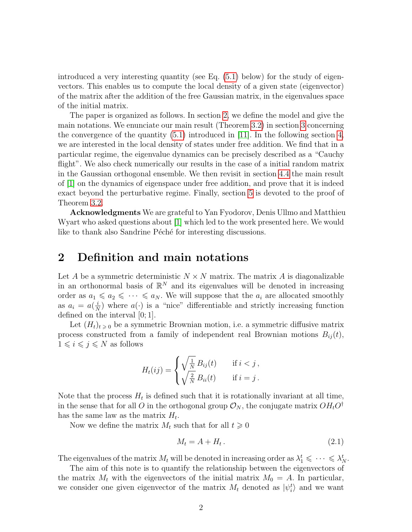introduced a very interesting quantity (see Eq.  $(5.1)$  below) for the study of eigenvectors. This enables us to compute the local density of a given state (eigenvector) of the matrix after the addition of the free Gaussian matrix, in the eigenvalues space of the initial matrix.

The paper is organized as follows. In section [2,](#page-1-0) we define the model and give the main notations. We enunciate our main result (Theorem [3.2\)](#page-4-0) in section [3](#page-2-0) concerning the convergence of the quantity  $(5.1)$  introduced in [\[11\]](#page-14-0). In the following section [4,](#page-5-0) we are interested in the local density of states under free addition. We find that in a particular regime, the eigenvalue dynamics can be precisely described as a "Cauchy flight". We also check numerically our results in the case of a initial random matrix in the Gaussian orthogonal ensemble. We then revisit in section [4.4](#page-9-0) the main result of [\[1\]](#page-14-1) on the dynamics of eigenspace under free addition, and prove that it is indeed exact beyond the perturbative regime. Finally, section [5](#page-11-1) is devoted to the proof of Theorem [3.2.](#page-4-0)

Acknowledgments We are grateful to Yan Fyodorov, Denis Ullmo and Matthieu Wyart who asked questions about [\[1\]](#page-14-1) which led to the work presented here. We would like to thank also Sandrine Péché for interesting discussions.

### <span id="page-1-0"></span>2 Definition and main notations

Let A be a symmetric deterministic  $N \times N$  matrix. The matrix A is diagonalizable in an orthonormal basis of  $\mathbb{R}^N$  and its eigenvalues will be denoted in increasing order as  $a_1 \leq a_2 \leq \cdots \leq a_N$ . We will suppose that the  $a_i$  are allocated smoothly as  $a_i = a(\frac{i}{\Delta})$  $\frac{i}{N}$ ) where  $a(\cdot)$  is a "nice" differentiable and strictly increasing function defined on the interval [0; 1].

Let  $(H_t)_{t \geq 0}$  be a symmetric Brownian motion, i.e. a symmetric diffusive matrix process constructed from a family of independent real Brownian motions  $B_{ij}(t)$ ,  $1 \leq i \leq j \leq N$  as follows

$$
H_t(ij) = \begin{cases} \sqrt{\frac{1}{N}} B_{ij}(t) & \text{if } i < j, \\ \sqrt{\frac{2}{N}} B_{ii}(t) & \text{if } i = j. \end{cases}
$$

Note that the process  $H_t$  is defined such that it is rotationally invariant at all time, in the sense that for all O in the orthogonal group  $\mathcal{O}_N$ , the conjugate matrix  $OH_tO^{\dagger}$ has the same law as the matrix  $H_t$ .

Now we define the matrix  $M_t$  such that for all  $t \geq 0$ 

<span id="page-1-1"></span>
$$
M_t = A + H_t. \tag{2.1}
$$

The eigenvalues of the matrix  $M_t$  will be denoted in increasing order as  $\lambda_1^t \leq \cdots \leq \lambda_N^t$ .

The aim of this note is to quantify the relationship between the eigenvectors of the matrix  $M_t$  with the eigenvectors of the initial matrix  $M_0 = A$ . In particular, we consider one given eigenvector of the matrix  $M_t$  denoted as  $|\psi_i^t\rangle$  and we want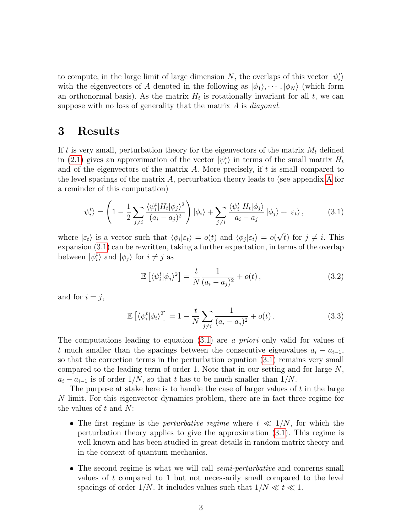to compute, in the large limit of large dimension N, the overlaps of this vector  $|\psi_i^t\rangle$ with the eigenvectors of A denoted in the following as  $|\phi_1\rangle, \cdots, |\phi_N\rangle$  (which form an orthonormal basis). As the matrix  $H_t$  is rotationally invariant for all  $t$ , we can suppose with no loss of generality that the matrix A is *diagonal*.

### <span id="page-2-0"></span>3 Results

If t is very small, perturbation theory for the eigenvectors of the matrix  $M_t$  defined in [\(2.1\)](#page-1-1) gives an approximation of the vector  $|\psi_i^t\rangle$  in terms of the small matrix  $H_t$ and of the eigenvectors of the matrix  $A$ . More precisely, if  $t$  is small compared to the level spacings of the matrix A, perturbation theory leads to (see appendix [A](#page-12-0) for a reminder of this computation)

<span id="page-2-1"></span>
$$
|\psi_i^t\rangle = \left(1 - \frac{1}{2} \sum_{j \neq i} \frac{\langle \psi_i^t | H_t | \phi_j \rangle^2}{(a_i - a_j)^2}\right) |\phi_i\rangle + \sum_{j \neq i} \frac{\langle \psi_i^t | H_t | \phi_j \rangle}{a_i - a_j} |\phi_j\rangle + |\varepsilon_t\rangle, \tag{3.1}
$$

where  $|\varepsilon_t\rangle$  is a vector such that  $\langle \phi_i | \varepsilon_t \rangle = o(t)$  and  $\langle \phi_j | \varepsilon_t \rangle = o(t)$  $\overline{t}$ ) for  $j \neq i$ . This expansion [\(3.1\)](#page-2-1) can be rewritten, taking a further expectation, in terms of the overlap between  $|\psi_i^t\rangle$  and  $|\phi_j\rangle$  for  $i \neq j$  as

<span id="page-2-3"></span><span id="page-2-2"></span>
$$
\mathbb{E}\left[\langle\psi_i^t|\phi_j\rangle^2\right] = \frac{t}{N} \frac{1}{(a_i - a_j)^2} + o(t),\tag{3.2}
$$

and for  $i = j$ ,

$$
\mathbb{E}\left[\langle\psi_i^t|\phi_i\rangle^2\right] = 1 - \frac{t}{N} \sum_{j \neq i} \frac{1}{(a_i - a_j)^2} + o(t).
$$
 (3.3)

The computations leading to equation [\(3.1\)](#page-2-1) are a priori only valid for values of t much smaller than the spacings between the consecutive eigenvalues  $a_i - a_{i-1}$ , so that the correction terms in the perturbation equation [\(3.1\)](#page-2-1) remains very small compared to the leading term of order 1. Note that in our setting and for large  $N$ ,  $a_i - a_{i-1}$  is of order  $1/N$ , so that t has to be much smaller than  $1/N$ .

The purpose at stake here is to handle the case of larger values of  $t$  in the large N limit. For this eigenvector dynamics problem, there are in fact three regime for the values of  $t$  and  $N$ :

- The first regime is the *perturbative regime* where  $t \ll 1/N$ , for which the perturbation theory applies to give the approximation [\(3.1\)](#page-2-1). This regime is well known and has been studied in great details in random matrix theory and in the context of quantum mechanics.
- The second regime is what we will call *semi-perturbative* and concerns small values of t compared to 1 but not necessarily small compared to the level spacings of order 1/N. It includes values such that  $1/N \ll t \ll 1$ .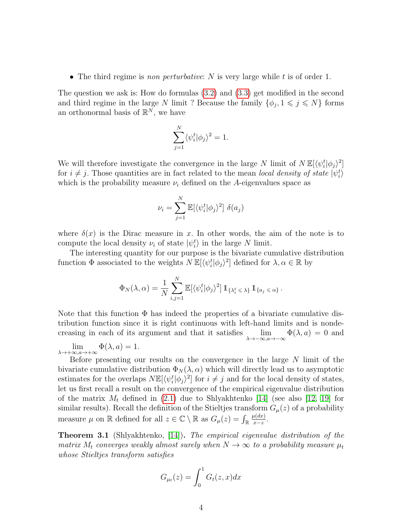• The third regime is non perturbative: N is very large while t is of order 1.

The question we ask is: How do formulas [\(3.2\)](#page-2-2) and [\(3.3\)](#page-2-3) get modified in the second and third regime in the large N limit ? Because the family  $\{\phi_j, 1 \leq j \leq N\}$  forms an orthonormal basis of  $\mathbb{R}^N$ , we have

$$
\sum_{j=1}^N \langle \psi_i^t | \phi_j \rangle^2 = 1.
$$

We will therefore investigate the convergence in the large N limit of  $N \mathbb{E}[\langle \psi_i^t | \phi_j \rangle^2]$ for  $i \neq j$ . Those quantities are in fact related to the mean local density of state  $|\psi_i^t\rangle$ which is the probability measure  $\nu_i$  defined on the A-eigenvalues space as

$$
\nu_i = \sum_{j=1}^N \mathbb{E}[\langle \psi_i^t | \phi_j \rangle^2] \delta(a_j)
$$

where  $\delta(x)$  is the Dirac measure in x. In other words, the aim of the note is to compute the local density  $\nu_i$  of state  $|\psi_i^t\rangle$  in the large N limit.

The interesting quantity for our purpose is the bivariate cumulative distribution function  $\Phi$  associated to the weights  $N \mathbb{E}[\langle \psi_i^t | \phi_j \rangle^2]$  defined for  $\lambda, \alpha \in \mathbb{R}$  by

$$
\Phi_N(\lambda,\alpha) = \frac{1}{N} \sum_{i,j=1}^N \mathbb{E}[\langle \psi_i^t | \phi_j \rangle^2] \, \mathbb{1}_{\{\lambda_i^t \leq \lambda\}} \, \mathbb{1}_{\{a_j \leq \alpha\}}.
$$

Note that this function  $\Phi$  has indeed the properties of a bivariate cumulative distribution function since it is right continuous with left-hand limits and is nondecreasing in each of its argument and that it satisfies  $\lim_{\lambda \to -\infty, a \to -\infty} \Phi(\lambda, a) = 0$  and

 $\lim_{\lambda \to +\infty, a \to +\infty} \Phi(\lambda, a) = 1.$ 

Before presenting our results on the convergence in the large  $N$  limit of the bivariate cumulative distribution  $\Phi_N(\lambda, \alpha)$  which will directly lead us to asymptotic estimates for the overlaps  $N \mathbb{E}[\langle \psi_i^t | \phi_j \rangle^2]$  for  $i \neq j$  and for the local density of states, let us first recall a result on the convergence of the empirical eigenvalue distribution of the matrix  $M_t$  defined in [\(2.1\)](#page-1-1) due to Shlyakhtenko [\[14\]](#page-14-9) (see also [\[12,](#page-14-10) [19\]](#page-14-11) for similar results). Recall the definition of the Stieltjes transform  $G_{\mu}(z)$  of a probability measure  $\mu$  on  $\mathbb R$  defined for all  $z \in \mathbb{C} \setminus \mathbb R$  as  $G_{\mu}(z) = \int_{\mathbb R}$  $\mu(dx)$  $rac{u(ax)}{x-z}$ .

<span id="page-3-0"></span>**Theorem 3.1** (Shlyakhtenko, [\[14\]](#page-14-9)). The empirical eigenvalue distribution of the matrix  $M_t$  converges weakly almost surely when  $N \to \infty$  to a probability measure  $\mu_t$ whose Stieltjes transform satisfies

$$
G_{\mu_t}(z) = \int_0^1 G_t(z, x) dx
$$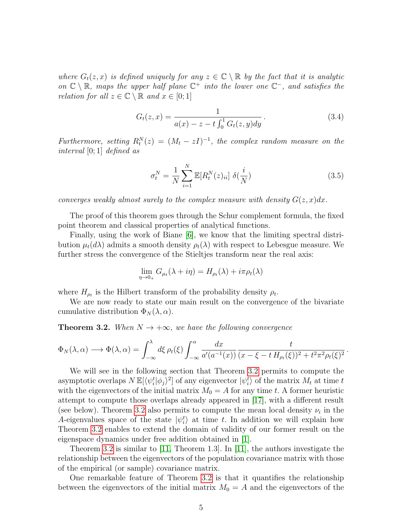where  $G_t(z, x)$  is defined uniquely for any  $z \in \mathbb{C} \setminus \mathbb{R}$  by the fact that it is analytic on  $\mathbb{C} \setminus \mathbb{R}$ , maps the upper half plane  $\mathbb{C}^+$  into the lower one  $\mathbb{C}^-$ , and satisfies the relation for all  $z \in \mathbb{C} \setminus \mathbb{R}$  and  $x \in [0,1]$ 

<span id="page-4-2"></span>
$$
G_t(z,x) = \frac{1}{a(x) - z - t \int_0^1 G_t(z,y) dy}.
$$
\n(3.4)

Furthermore, setting  $R_t^N(z) = (M_t - zI)^{-1}$ , the complex random measure on the interval [0; 1] defined as

<span id="page-4-1"></span>
$$
\sigma_t^N = \frac{1}{N} \sum_{i=1}^N \mathbb{E}[R_t^N(z)_{ii}] \ \delta(\frac{i}{N}) \tag{3.5}
$$

converges weakly almost surely to the complex measure with density  $G(z, x)dx$ .

The proof of this theorem goes through the Schur complement formula, the fixed point theorem and classical properties of analytical functions.

Finally, using the work of Biane [\[6\]](#page-14-4), we know that the limiting spectral distribution  $\mu_t(d\lambda)$  admits a smooth density  $\rho_t(\lambda)$  with respect to Lebesgue measure. We further stress the convergence of the Stieltjes transform near the real axis:

$$
\lim_{\eta \to 0+} G_{\mu_t}(\lambda + i\eta) = H_{\rho_t}(\lambda) + i\pi \rho_t(\lambda)
$$

where  $H_{\rho_t}$  is the Hilbert transform of the probability density  $\rho_t$ .

We are now ready to state our main result on the convergence of the bivariate cumulative distribution  $\Phi_N(\lambda, \alpha)$ .

<span id="page-4-0"></span>**Theorem 3.2.** When  $N \rightarrow +\infty$ , we have the following convergence

$$
\Phi_N(\lambda, \alpha) \longrightarrow \Phi(\lambda, \alpha) = \int_{-\infty}^{\lambda} d\xi \,\rho_t(\xi) \int_{-\infty}^{\alpha} \frac{dx}{a'(a^{-1}(x))} \frac{t}{(x - \xi - t H_{\rho_t}(\xi))^2 + t^2 \pi^2 \rho_t(\xi)^2}.
$$

We will see in the following section that Theorem [3.2](#page-4-0) permits to compute the asymptotic overlaps  $N \mathbb{E}[\langle \psi_i^t | \phi_j \rangle^2]$  of any eigenvector  $|\psi_i^t\rangle$  of the matrix  $M_t$  at time t with the eigenvectors of the initial matrix  $M_0 = A$  for any time t. A former heuristic attempt to compute those overlaps already appeared in [\[17\]](#page-14-12), with a different result (see below). Theorem [3.2](#page-4-0) also permits to compute the mean local density  $\nu_i$  in the A-eigenvalues space of the state  $|\psi_i^t\rangle$  at time t. In addition we will explain how Theorem [3.2](#page-4-0) enables to extend the domain of validity of our former result on the eigenspace dynamics under free addition obtained in [\[1\]](#page-14-1).

Theorem [3.2](#page-4-0) is similar to [\[11,](#page-14-0) Theorem 1.3]. In [\[11\]](#page-14-0), the authors investigate the relationship between the eigenvectors of the population covariance matrix with those of the empirical (or sample) covariance matrix.

One remarkable feature of Theorem [3.2](#page-4-0) is that it quantifies the relationship between the eigenvectors of the initial matrix  $M_0 = A$  and the eigenvectors of the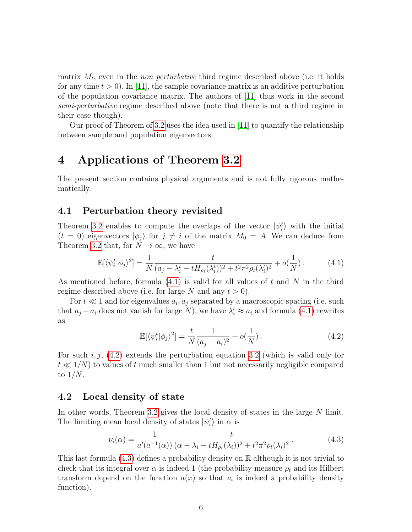matrix  $M_t$ , even in the *non perturbative* third regime described above (i.e. it holds for any time  $t > 0$ . In [\[11\]](#page-14-0), the sample covariance matrix is an additive perturbation of the population covariance matrix. The authors of [\[11\]](#page-14-0) thus work in the second semi-perturbative regime described above (note that there is not a third regime in their case though).

Our proof of Theorem of [3.2](#page-4-0) uses the idea used in [\[11\]](#page-14-0) to quantify the relationship between sample and population eigenvectors.

### <span id="page-5-0"></span>4 Applications of Theorem [3.2](#page-4-0)

The present section contains physical arguments and is not fully rigorous mathematically.

### 4.1 Perturbation theory revisited

Theorem [3.2](#page-4-0) enables to compute the overlaps of the vector  $|\psi_i^t\rangle$  with the initial  $(t = 0)$  eigenvectors  $|\phi_j\rangle$  for  $j \neq i$  of the matrix  $M_0 = A$ . We can deduce from Theorem [3.2](#page-4-0) that, for  $N \to \infty$ , we have

$$
\mathbb{E}[\langle \psi_i^t | \phi_j \rangle^2] = \frac{1}{N} \frac{t}{(a_j - \lambda_i^t - t H_{\rho_t}(\lambda_i^t))^2 + t^2 \pi^2 \rho_t(\lambda_i^t)^2} + o(\frac{1}{N}). \tag{4.1}
$$

As mentioned before, formula  $(4.1)$  is valid for all values of t and N in the third regime described above (i.e. for large N and any  $t > 0$ ).

For  $t \ll 1$  and for eigenvalues  $a_i, a_j$  separated by a macroscopic spacing (i.e. such that  $a_j - a_i$  does not vanish for large N), we have  $\lambda_i^t \approx a_i$  and formula [\(4.1\)](#page-5-1) rewrites as

<span id="page-5-2"></span><span id="page-5-1"></span>
$$
\mathbb{E}[\langle \psi_i^t | \phi_j \rangle^2] = \frac{t}{N} \frac{1}{(a_j - a_i)^2} + o(\frac{1}{N}).
$$
\n(4.2)

For such i, j,  $(4.2)$  extends the perturbation equation [3.2](#page-2-2) (which is valid only for  $t \ll 1/N$  to values of t much smaller than 1 but not necessarily negligible compared to  $1/N$ .

#### 4.2 Local density of state

In other words, Theorem [3.2](#page-4-0) gives the local density of states in the large N limit. The limiting mean local density of states  $|\psi_i^t\rangle$  in  $\alpha$  is

<span id="page-5-3"></span>
$$
\nu_i(\alpha) = \frac{1}{a'(a^{-1}(\alpha))} \frac{t}{(\alpha - \lambda_i - tH_{\rho_t}(\lambda_i))^2 + t^2 \pi^2 \rho_t(\lambda_i)^2}.
$$
\n(4.3)

This last formula  $(4.3)$  defines a probability density on R although it is not trivial to check that its integral over  $\alpha$  is indeed 1 (the probability measure  $\rho_t$  and its Hilbert transform depend on the function  $a(x)$  so that  $\nu_i$  is indeed a probability density function).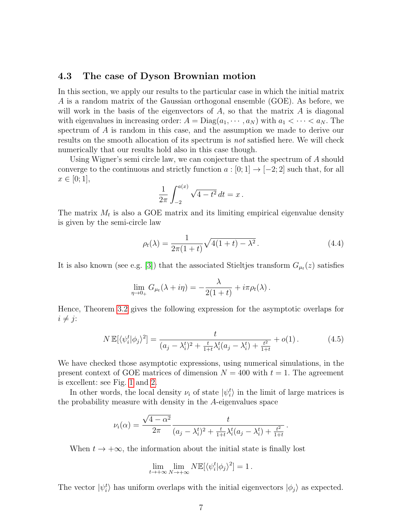#### 4.3 The case of Dyson Brownian motion

In this section, we apply our results to the particular case in which the initial matrix A is a random matrix of the Gaussian orthogonal ensemble (GOE). As before, we will work in the basis of the eigenvectors of  $A$ , so that the matrix  $A$  is diagonal with eigenvalues in increasing order:  $A = \text{Diag}(a_1, \dots, a_N)$  with  $a_1 < \dots < a_N$ . The spectrum of A is random in this case, and the assumption we made to derive our results on the smooth allocation of its spectrum is not satisfied here. We will check numerically that our results hold also in this case though.

Using Wigner's semi circle law, we can conjecture that the spectrum of A should converge to the continuous and strictly function  $a:[0;1] \to [-2;2]$  such that, for all  $x \in [0; 1],$ 

$$
\frac{1}{2\pi} \int_{-2}^{a(x)} \sqrt{4 - t^2} \, dt = x \, .
$$

The matrix  $M_t$  is also a GOE matrix and its limiting empirical eigenvalue density is given by the semi-circle law

<span id="page-6-1"></span>
$$
\rho_t(\lambda) = \frac{1}{2\pi(1+t)}\sqrt{4(1+t) - \lambda^2}.
$$
\n(4.4)

It is also known (see e.g. [\[3\]](#page-14-8)) that the associated Stieltjes transform  $G_{\mu}$  $(z)$  satisfies

<span id="page-6-0"></span>
$$
\lim_{\eta \to 0+} G_{\mu_t}(\lambda + i\eta) = -\frac{\lambda}{2(1+t)} + i\pi \rho_t(\lambda).
$$

Hence, Theorem [3.2](#page-4-0) gives the following expression for the asymptotic overlaps for  $i \neq j$ :

$$
N \mathbb{E}[\langle \psi_i^t | \phi_j \rangle^2] = \frac{t}{(a_j - \lambda_i^t)^2 + \frac{t}{1+t} \lambda_i^t (a_j - \lambda_i^t) + \frac{t^2}{1+t}} + o(1).
$$
 (4.5)

We have checked those asymptotic expressions, using numerical simulations, in the present context of GOE matrices of dimension  $N = 400$  with  $t = 1$ . The agreement is excellent: see Fig. [1](#page-7-0) and [2.](#page-8-0)

In other words, the local density  $\nu_i$  of state  $|\psi_i^t\rangle$  in the limit of large matrices is the probability measure with density in the A-eigenvalues space

$$
\nu_i(\alpha) = \frac{\sqrt{4 - \alpha^2}}{2\pi} \frac{t}{(a_j - \lambda_i^t)^2 + \frac{t}{1+t}\lambda_i^t(a_j - \lambda_i^t) + \frac{t^2}{1+t}}.
$$

When  $t \to +\infty$ , the information about the initial state is finally lost

$$
\lim_{t \to +\infty} \lim_{N \to +\infty} N \mathbb{E}[\langle \psi_i^t | \phi_j \rangle^2] = 1.
$$

The vector  $|\psi_i^t\rangle$  has uniform overlaps with the initial eigenvectors  $|\phi_j\rangle$  as expected.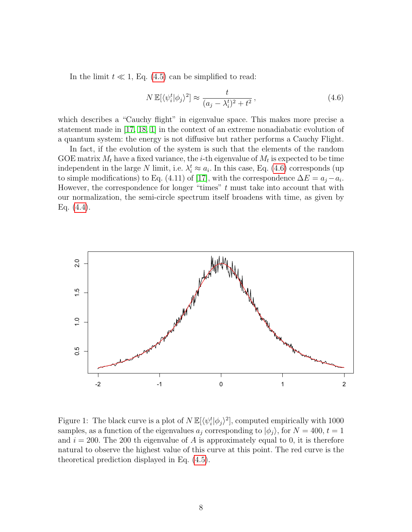In the limit  $t \ll 1$ , Eq. [\(4.5\)](#page-6-0) can be simplified to read:

<span id="page-7-1"></span>
$$
N \mathbb{E}[\langle \psi_i^t | \phi_j \rangle^2] \approx \frac{t}{(a_j - \lambda_i^t)^2 + t^2},\tag{4.6}
$$

which describes a "Cauchy flight" in eigenvalue space. This makes more precise a statement made in [\[17,](#page-14-12) [18,](#page-14-13) [1\]](#page-14-1) in the context of an extreme nonadiabatic evolution of a quantum system: the energy is not diffusive but rather performs a Cauchy Flight.

In fact, if the evolution of the system is such that the elements of the random GOE matrix  $M_t$  have a fixed variance, the *i*-th eigenvalue of  $M_t$  is expected to be time independent in the large N limit, i.e.  $\lambda_i^t \approx a_i$ . In this case, Eq. [\(4.6\)](#page-7-1) corresponds (up to simple modifications) to Eq. (4.11) of [\[17\]](#page-14-12), with the correspondence  $\Delta E = a_j - a_i$ . However, the correspondence for longer "times"  $t$  must take into account that with our normalization, the semi-circle spectrum itself broadens with time, as given by Eq. [\(4.4\)](#page-6-1).



<span id="page-7-0"></span>Figure 1: The black curve is a plot of  $N \mathbb{E}[\langle \psi_i^t | \phi_j \rangle^2]$ , computed empirically with 1000 samples, as a function of the eigenvalues  $a_j$  corresponding to  $|\phi_j\rangle$ , for  $N = 400, t = 1$ and  $i = 200$ . The 200 th eigenvalue of A is approximately equal to 0, it is therefore natural to observe the highest value of this curve at this point. The red curve is the theoretical prediction displayed in Eq. [\(4.5\)](#page-6-0).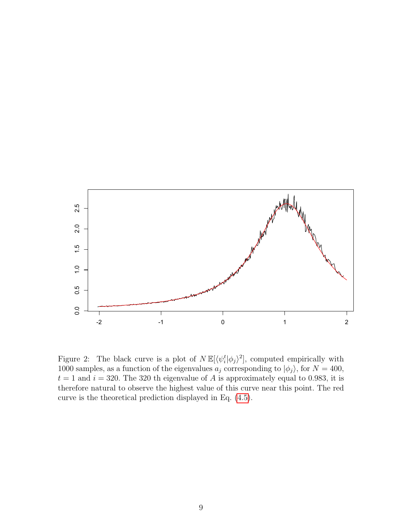

<span id="page-8-0"></span>Figure 2: The black curve is a plot of  $N \mathbb{E}[\langle \psi_i^t | \phi_j \rangle^2]$ , computed empirically with 1000 samples, as a function of the eigenvalues  $a_j$  corresponding to  $|\phi_j\rangle$ , for  $N = 400$ ,  $t = 1$  and  $i = 320$ . The 320 th eigenvalue of A is approximately equal to 0.983, it is therefore natural to observe the highest value of this curve near this point. The red curve is the theoretical prediction displayed in Eq. [\(4.5\)](#page-6-0).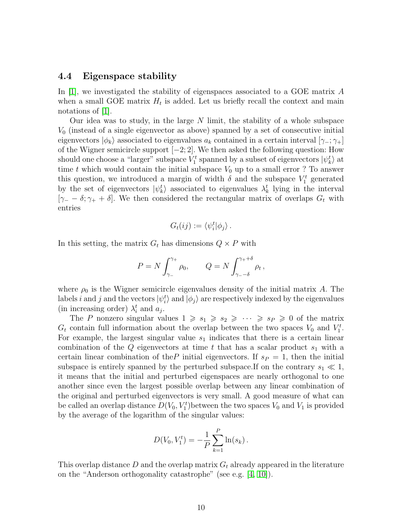#### <span id="page-9-0"></span>4.4 Eigenspace stability

In [\[1\]](#page-14-1), we investigated the stability of eigenspaces associated to a GOE matrix A when a small GOE matrix  $H_t$  is added. Let us briefly recall the context and main notations of [\[1\]](#page-14-1).

Our idea was to study, in the large  $N$  limit, the stability of a whole subspace  $V_0$  (instead of a single eigenvector as above) spanned by a set of consecutive initial eigenvectors  $|\phi_k\rangle$  associated to eigenvalues  $a_k$  contained in a certain interval  $[\gamma_-, \gamma_+]$ of the Wigner semicircle support  $[-2, 2]$ . We then asked the following question: How should one choose a "larger" subspace  $V_1^t$  spanned by a subset of eigenvectors  $|\psi^t_k\rangle$  at time t which would contain the initial subspace  $V_0$  up to a small error ? To answer this question, we introduced a margin of width  $\delta$  and the subspace  $V_1^t$  generated by the set of eigenvectors  $|\psi_k^t\rangle$  associated to eigenvalues  $\lambda_k^t$  lying in the interval  $[\gamma_- - \delta; \gamma_+ + \delta]$ . We then considered the rectangular matrix of overlaps  $G_t$  with entries

$$
G_t(ij) := \langle \psi_i^t | \phi_j \rangle \, .
$$

In this setting, the matrix  $G_t$  has dimensions  $Q \times P$  with

$$
P = N \int_{\gamma_-}^{\gamma_+} \rho_0, \qquad Q = N \int_{\gamma_- - \delta}^{\gamma_+ + \delta} \rho_t \,,
$$

where  $\rho_0$  is the Wigner semicircle eigenvalues density of the initial matrix A. The labels *i* and *j* and the vectors  $|\psi_i^t\rangle$  and  $|\phi_j\rangle$  are respectively indexed by the eigenvalues (in increasing order)  $\lambda_i^t$  and  $a_j$ .

The P nonzero singular values  $1 \geq s_1 \geq s_2 \geq \cdots \geq s_p \geq 0$  of the matrix  $G_t$  contain full information about the overlap between the two spaces  $V_0$  and  $V_1^t$ . For example, the largest singular value  $s_1$  indicates that there is a certain linear combination of the Q eigenvectors at time t that has a scalar product  $s_1$  with a certain linear combination of the P initial eigenvectors. If  $s_P = 1$ , then the initial subspace is entirely spanned by the perturbed subspace. If on the contrary  $s_1 \ll 1$ , it means that the initial and perturbed eigenspaces are nearly orthogonal to one another since even the largest possible overlap between any linear combination of the original and perturbed eigenvectors is very small. A good measure of what can be called an overlap distance  $D(V_0, V_1^t)$  between the two spaces  $V_0$  and  $V_1$  is provided by the average of the logarithm of the singular values:

$$
D(V_0, V_1^t) = -\frac{1}{P} \sum_{k=1}^{P} \ln(s_k).
$$

This overlap distance  $D$  and the overlap matrix  $G_t$  already appeared in the literature on the "Anderson orthogonality catastrophe" (see e.g. [\[4,](#page-14-14) [10\]](#page-14-15)).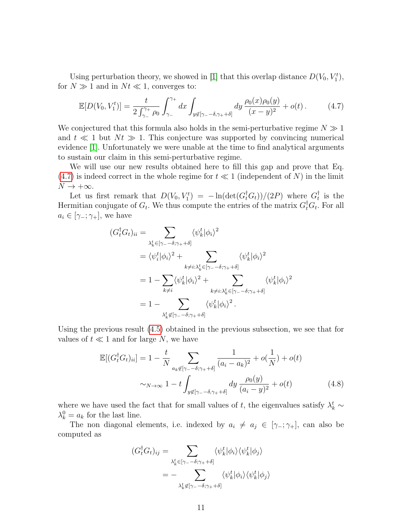Using perturbation theory, we showed in [\[1\]](#page-14-1) that this overlap distance  $D(V_0, V_1^t)$ , for  $N \gg 1$  and in  $N t \ll 1$ , converges to:

<span id="page-10-0"></span>
$$
\mathbb{E}[D(V_0, V_1^t)] = \frac{t}{2\int_{\gamma_-}^{\gamma_+} \rho_0} \int_{\gamma_-}^{\gamma_+} dx \int_{y \notin [\gamma_- - \delta, \gamma_+ + \delta]} dy \, \frac{\rho_0(x)\rho_0(y)}{(x - y)^2} + o(t) \,. \tag{4.7}
$$

We conjectured that this formula also holds in the semi-perturbative regime  $N \gg 1$ and  $t \ll 1$  but  $N_t \gg 1$ . This conjecture was supported by convincing numerical evidence [\[1\]](#page-14-1). Unfortunately we were unable at the time to find analytical arguments to sustain our claim in this semi-perturbative regime.

We will use our new results obtained here to fill this gap and prove that Eq.  $(4.7)$  is indeed correct in the whole regime for  $t \ll 1$  (independent of N) in the limit  $N \to +\infty$ .

Let us first remark that  $D(V_0, V_1^t) = -\ln(\det(G_t^{\dagger} G_t))/(2P)$  where  $G_t^{\dagger}$  $_{t}^{\dagger}$  is the Hermitian conjugate of  $G_t$ . We thus compute the entries of the matrix  $G_t^{\dagger} G_t$ . For all  $a_i \in [\gamma_-\,;\gamma_+]$ , we have

$$
(G_t^{\dagger} G_t)_{ii} = \sum_{\substack{\lambda_k^t \in [\gamma_- - \delta; \gamma_+ + \delta] \\ \vdots \\ k \neq i \colon \lambda_k^t \in [\gamma_- - \delta; \gamma_+ + \delta]}} \langle \psi_k^t | \phi_i \rangle^2
$$
  

$$
= \langle \psi_i^t | \phi_i \rangle^2 + \sum_{\substack{k \neq i \colon \lambda_k^t \in [\gamma_- - \delta; \gamma_+ + \delta] \\ \vdots \\ k \neq i \colon \lambda_k^t \in [\gamma_- - \delta; \gamma_+ + \delta]}} \langle \psi_k^t | \phi_i \rangle^2
$$
  

$$
= 1 - \sum_{\substack{\lambda_k^t \notin [\gamma_- - \delta; \gamma_+ + \delta]}} \langle \psi_k^t | \phi_i \rangle^2.
$$

Using the previous result [\(4.5\)](#page-6-0) obtained in the previous subsection, we see that for values of  $t \ll 1$  and for large N, we have

$$
\mathbb{E}[(G_t^{\dagger} G_t)_{ii}] = 1 - \frac{t}{N} \sum_{a_k \notin [\gamma_- - \delta; \gamma_+ + \delta]} \frac{1}{(a_i - a_k)^2} + o(\frac{1}{N}) + o(t)
$$

$$
\sim_{N \to \infty} 1 - t \int_{y \notin [\gamma_- - \delta, \gamma_+ + \delta]} dy \frac{\rho_0(y)}{(a_i - y)^2} + o(t) \tag{4.8}
$$

where we have used the fact that for small values of t, the eigenvalues satisfy  $\lambda_k^t \sim$  $\lambda_k^0 = a_k$  for the last line.

The non diagonal elements, i.e. indexed by  $a_i \neq a_j \in [\gamma_-, \gamma_+]$ , can also be computed as

<span id="page-10-1"></span>
$$
(G_t^{\dagger} G_t)_{ij} = \sum_{\substack{\lambda_k^t \in [\gamma_- - \delta; \gamma_+ + \delta] \\ \vdots \\ \lambda_k^t \notin [\gamma_- - \delta; \gamma_+ + \delta]}} \langle \psi_k^t | \phi_i \rangle \langle \psi_k^t | \phi_j \rangle
$$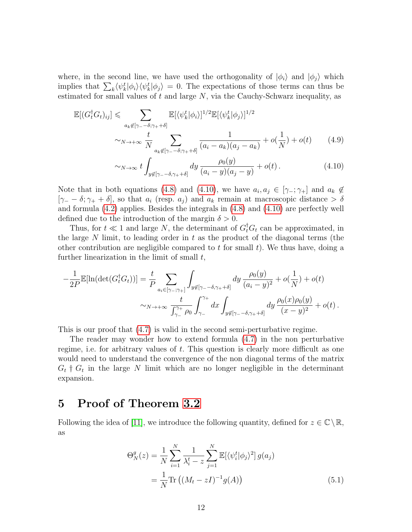where, in the second line, we have used the orthogonality of  $|\phi_i\rangle$  and  $|\phi_j\rangle$  which implies that  $\sum_k \langle \psi_k^t | \phi_i \rangle \langle \psi_k^t | \phi_j \rangle = 0$ . The expectations of those terms can thus be estimated for small values of  $t$  and large  $N$ , via the Cauchy-Schwarz inequality, as

$$
\mathbb{E}[(G_t^{\dagger} G_t)_{ij}] \leqslant \sum_{a_k \notin [\gamma - \delta; \gamma + +\delta]} \mathbb{E}[\langle \psi_k^t | \phi_i \rangle]^{1/2} \mathbb{E}[\langle \psi_k^t | \phi_j \rangle]^{1/2}
$$
  

$$
\sim_{N \to +\infty} \frac{t}{N} \sum_{a_k \notin [\gamma - \delta; \gamma + +\delta]} \frac{1}{(a_i - a_k)(a_j - a_k)} + o(\frac{1}{N}) + o(t) \tag{4.9}
$$

<span id="page-11-2"></span>
$$
\sim_{N \to \infty} t \int_{y \notin [\gamma_- - \delta, \gamma_+ + \delta]} dy \, \frac{\rho_0(y)}{(a_i - y)(a_j - y)} + o(t) \,.
$$
 (4.10)

Note that in both equations [\(4.8\)](#page-10-1) and [\(4.10\)](#page-11-2), we have  $a_i, a_j \in [\gamma_-, \gamma_+]$  and  $a_k \notin$  $[\gamma - \delta; \gamma + \delta]$ , so that  $a_i$  (resp.  $a_j$ ) and  $a_k$  remain at macroscopic distance > δ and formula [\(4.2\)](#page-5-2) applies. Besides the integrals in [\(4.8\)](#page-10-1) and [\(4.10\)](#page-11-2) are perfectly well defined due to the introduction of the margin  $\delta > 0$ .

Thus, for  $t \ll 1$  and large N, the determinant of  $G_t^{\dagger} G_t$  can be approximated, in the large  $N$  limit, to leading order in  $t$  as the product of the diagonal terms (the other contribution are negligible compared to t for small  $t$ ). We thus have, doing a further linearization in the limit of small  $t$ ,

$$
-\frac{1}{2P}\mathbb{E}[\ln(\det(G_t^{\dagger}G_t))] = \frac{t}{P} \sum_{a_i \in [\gamma_-;\gamma_+]} \int_{y \notin [\gamma_- - \delta, \gamma_+ + \delta]} dy \frac{\rho_0(y)}{(a_i - y)^2} + o(\frac{1}{N}) + o(t)
$$

$$
\sim_{N \to +\infty} \frac{t}{\int_{\gamma_-}^{\gamma_+} \rho_0} \int_{\gamma_-}^{\gamma_+} dx \int_{y \notin [\gamma_- - \delta, \gamma_+ + \delta]} dy \frac{\rho_0(x)\rho_0(y)}{(x - y)^2} + o(t) \,.
$$

This is our proof that [\(4.7\)](#page-10-0) is valid in the second semi-perturbative regime.

The reader may wonder how to extend formula [\(4.7\)](#page-10-0) in the non perturbative regime, i.e. for arbitrary values of t. This question is clearly more difficult as one would need to understand the convergence of the non diagonal terms of the matrix  $G_t$   $\dagger$   $G_t$  in the large N limit which are no longer negligible in the determinant expansion.

### <span id="page-11-1"></span>5 Proof of Theorem [3.2](#page-4-0)

Following the idea of [\[11\]](#page-14-0), we introduce the following quantity, defined for  $z \in \mathbb{C} \backslash \mathbb{R}$ , as

<span id="page-11-0"></span>
$$
\Theta_N^g(z) = \frac{1}{N} \sum_{i=1}^N \frac{1}{\lambda_i^t - z} \sum_{j=1}^N \mathbb{E}[\langle \psi_i^t | \phi_j \rangle^2] g(a_j)
$$
  
= 
$$
\frac{1}{N} \text{Tr} \left( (M_t - zI)^{-1} g(A) \right)
$$
 (5.1)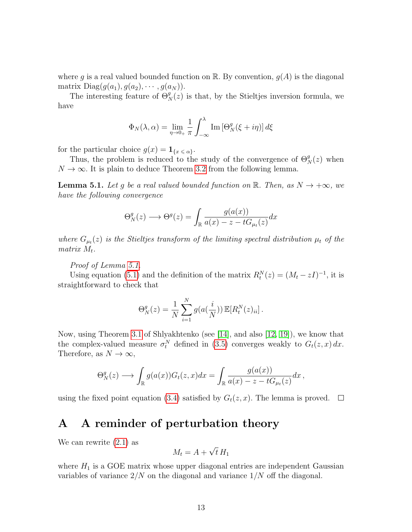where g is a real valued bounded function on R. By convention,  $g(A)$  is the diagonal matrix  $Diag(g(a_1), g(a_2), \cdots, g(a_N)).$ 

The interesting feature of  $\Theta_N^g(z)$  is that, by the Stieltjes inversion formula, we have

$$
\Phi_N(\lambda, \alpha) = \lim_{\eta \to 0+} \frac{1}{\pi} \int_{-\infty}^{\lambda} \text{Im} \left[ \Theta_N^g(\xi + i\eta) \right] d\xi
$$

for the particular choice  $g(x) = \mathbf{1}_{\{x \le \alpha\}}$ .

Thus, the problem is reduced to the study of the convergence of  $\Theta_N^g(z)$  when  $N \to \infty$ . It is plain to deduce Theorem [3.2](#page-4-0) from the following lemma.

<span id="page-12-1"></span>**Lemma 5.1.** Let g be a real valued bounded function on R. Then, as  $N \rightarrow +\infty$ , we have the following convergence

$$
\Theta_N^g(z) \longrightarrow \Theta^g(z) = \int_{\mathbb{R}} \frac{g(a(x))}{a(x) - z - tG_{\mu_t}(z)} dx
$$

where  $G_{\mu t}(z)$  is the Stieltjes transform of the limiting spectral distribution  $\mu_t$  of the matrix  $M_t$ .

Proof of Lemma [5.1.](#page-12-1)

Using equation [\(5.1\)](#page-11-0) and the definition of the matrix  $R_t^N(z) = (M_t - zI)^{-1}$ , it is straightforward to check that

$$
\Theta_N^g(z) = \frac{1}{N} \sum_{i=1}^N g(a(\frac{i}{N})) \mathbb{E}[R_t^N(z)_{ii}].
$$

Now, using Theorem [3.1](#page-3-0) of Shlyakhtenko (see [\[14\]](#page-14-9), and also [\[12,](#page-14-10) [19\]](#page-14-11)), we know that the complex-valued measure  $\sigma_t^N$  defined in [\(3.5\)](#page-4-1) converges weakly to  $G_t(z, x) dx$ . Therefore, as  $N \to \infty$ ,

$$
\Theta_N^g(z) \longrightarrow \int_{\mathbb{R}} g(a(x)) G_t(z, x) dx = \int_{\mathbb{R}} \frac{g(a(x))}{a(x) - z - t G_{\mu_t}(z)} dx,
$$

using the fixed point equation [\(3.4\)](#page-4-2) satisfied by  $G_t(z, x)$ . The lemma is proved.  $\Box$ 

## <span id="page-12-0"></span>A A reminder of perturbation theory

We can rewrite [\(2.1\)](#page-1-1) as

$$
M_t = A + \sqrt{t} H_1
$$

where  $H_1$  is a GOE matrix whose upper diagonal entries are independent Gaussian variables of variance  $2/N$  on the diagonal and variance  $1/N$  off the diagonal.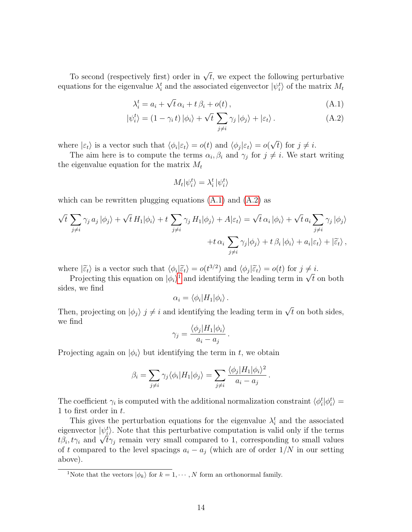To second (respectively first) order in  $\sqrt{t}$ , we expect the following perturbative equations for the eigenvalue  $\lambda_i^t$  and the associated eigenvector  $|\psi_i^t\rangle$  of the matrix  $M_t$ 

$$
\lambda_i^t = a_i + \sqrt{t} \, \alpha_i + t \, \beta_i + o(t) \,, \tag{A.1}
$$

$$
|\psi_i^t\rangle = (1 - \gamma_i t) |\phi_i\rangle + \sqrt{t} \sum_{j \neq i} \gamma_j |\phi_j\rangle + |\varepsilon_t\rangle.
$$
 (A.2)

where  $|\varepsilon_t\rangle$  is a vector such that  $\langle \phi_i | \varepsilon_t \rangle = o(t)$  and  $\langle \phi_j | \varepsilon_t \rangle = o(t)$ √ t) for  $j \neq i$ .

The aim here is to compute the terms  $\alpha_i, \beta_i$  and  $\gamma_j$  for  $j \neq i$ . We start writing the eigenvalue equation for the matrix  $M_t$ 

<span id="page-13-1"></span><span id="page-13-0"></span>
$$
M_t|\psi_i^t\rangle=\lambda_i^t\,|\psi_i^t\rangle
$$

which can be rewritten plugging equations  $(A.1)$  and  $(A.2)$  as

$$
\sqrt{t} \sum_{j \neq i} \gamma_j a_j |\phi_j\rangle + \sqrt{t} H_1 |\phi_i\rangle + t \sum_{j \neq i} \gamma_j H_1 |\phi_j\rangle + A |\varepsilon_t\rangle = \sqrt{t} \alpha_i |\phi_i\rangle + \sqrt{t} a_i \sum_{j \neq i} \gamma_j |\phi_j\rangle + t \alpha_i \sum_{j \neq i} \gamma_j |\phi_j\rangle + t \beta_i |\phi_i\rangle + a_i |\varepsilon_t\rangle + |\tilde{\varepsilon}_t\rangle,
$$

where  $|\tilde{\varepsilon}_t\rangle$  is a vector such that  $\langle \phi_i | \tilde{\varepsilon}_t \rangle = o(t^{3/2})$  and  $\langle \phi_j | \tilde{\varepsilon}_t \rangle = o(t)$  for  $j \neq i$ .<br>Projecting this equation on  $|\phi_t\rangle^1$  and identifying the leading term in  $\sqrt{t}$ .

Equality is a vector such that  $\langle \varphi_i | \xi_t \rangle = o(t^{\gamma - 1})$  $\langle \varphi_i | \xi_t \rangle = o(t^{\gamma - 1})$  $\langle \varphi_i | \xi_t \rangle = o(t^{\gamma - 1})$  and  $\langle \varphi_j | \xi_t \rangle = o(t)$  for  $j \neq i$ .<br>Projecting this equation on  $|\phi_i\rangle^1$  and identifying the leading term in  $\sqrt{t}$  on both sides, we find

$$
\alpha_i = \langle \phi_i | H_1 | \phi_i \rangle \, .
$$

Then, projecting on  $|\phi_j\rangle$  j  $\neq i$  and identifying the leading term in  $\sqrt{t}$  on both sides, we find

$$
\gamma_j = \frac{\langle \phi_j | H_1 | \phi_i \rangle}{a_i - a_j}
$$

.

.

Projecting again on  $|\phi_i\rangle$  but identifying the term in t, we obtain

$$
\beta_i = \sum_{j \neq i} \gamma_j \langle \phi_i | H_1 | \phi_j \rangle = \sum_{j \neq i} \frac{\langle \phi_j | H_1 | \phi_i \rangle^2}{a_i - a_j}
$$

The coefficient  $\gamma_i$  is computed with the additional normalization constraint  $\langle \phi_i^t | \phi_i^t \rangle =$ 1 to first order in t.

This gives the perturbation equations for the eigenvalue  $\lambda_i^t$  and the associated eigenvector  $|\psi_i^t\rangle$ . Note that this perturbative computation is valid only if the terms eigenvector  $\ket{\psi_i}$ . Note that this perturbative computation is valid only if the terms  $t\beta_i, t\gamma_i$  and  $\sqrt{t}\gamma_j$  remain very small compared to 1, corresponding to small values of t compared to the level spacings  $a_i - a_j$  (which are of order  $1/N$  in our setting above).

<span id="page-13-2"></span><sup>&</sup>lt;sup>1</sup>Note that the vectors  $|\phi_k\rangle$  for  $k = 1, \dots, N$  form an orthonormal family.